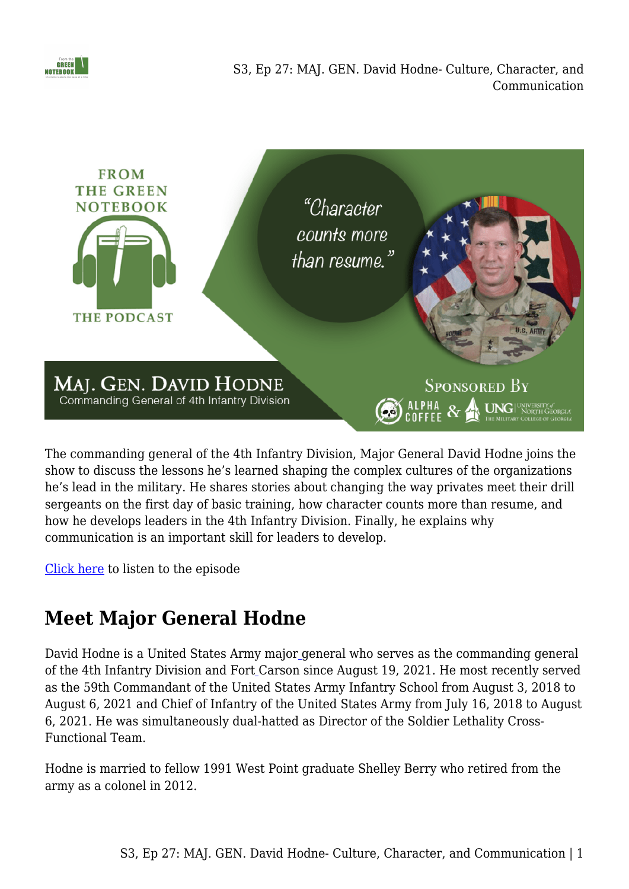

S3, Ep 27: MAJ. GEN. David Hodne- Culture, Character, and Communication



The commanding general of the 4th Infantry Division, Major General David Hodne joins the show to discuss the lessons he's learned shaping the complex cultures of the organizations he's lead in the military. He shares stories about changing the way privates meet their drill sergeants on the first day of basic training, how character counts more than resume, and how he develops leaders in the 4th Infantry Division. Finally, he explains why communication is an important skill for leaders to develop.

[Click here](https://www.buzzsprout.com/1410526/10651487) to listen to the episode

## **Meet Major General Hodne**

David Hodne is a United States Army major [g](https://en.wikipedia.org/wiki/Major_general_(United_States))eneral who serves as the commanding general of the 4th Infantry Division and Fort [C](https://en.wikipedia.org/wiki/Fort_Carson)arson since August 19, 2021. He most recently served as the 59th Commandant of the United States Army Infantry School from August 3, 2018 to August 6, 2021 and Chief of Infantry of the United States Army from July 16, 2018 to August 6, 2021. He was simultaneously dual-hatted as Director of the Soldier Lethality Cross-Functional Team.

Hodne is married to fellow 1991 West Point graduate Shelley Berry who retired from the army as a colonel in 2012.